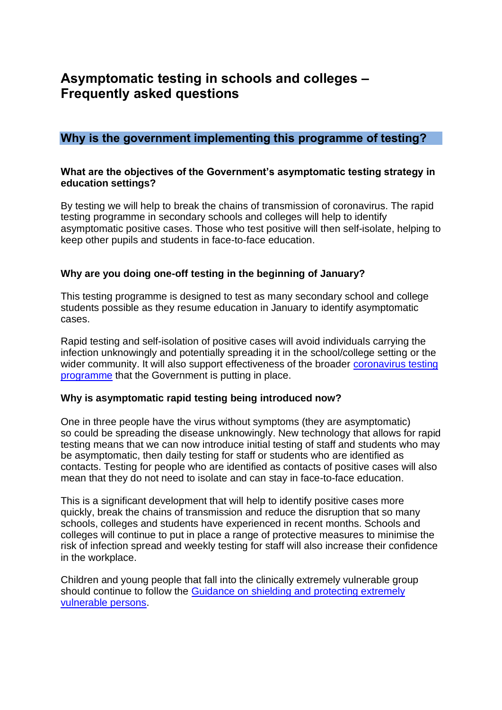# **Asymptomatic testing in schools and colleges – Frequently asked questions**

# **Why is the government implementing this programme of testing?**

### **What are the objectives of the Government's asymptomatic testing strategy in education settings?**

By testing we will help to break the chains of transmission of coronavirus. The rapid testing programme in secondary schools and colleges will help to identify asymptomatic positive cases. Those who test positive will then self-isolate, helping to keep other pupils and students in face-to-face education.

### **Why are you doing one-off testing in the beginning of January?**

This testing programme is designed to test as many secondary school and college students possible as they resume education in January to identify asymptomatic cases.

Rapid testing and self-isolation of positive cases will avoid individuals carrying the infection unknowingly and potentially spreading it in the school/college setting or the wider community. It will also support effectiveness of the broader coronavirus testing [programme](https://www.gov.uk/guidance/coronavirus-covid-19-getting-tested) that the Government is putting in place.

### **Why is asymptomatic rapid testing being introduced now?**

One in three people have the virus without symptoms (they are asymptomatic) so could be spreading the disease unknowingly. New technology that allows for rapid testing means that we can now introduce initial testing of staff and students who may be asymptomatic, then daily testing for staff or students who are identified as contacts. Testing for people who are identified as contacts of positive cases will also mean that they do not need to isolate and can stay in face-to-face education.

This is a significant development that will help to identify positive cases more quickly, break the chains of transmission and reduce the disruption that so many schools, colleges and students have experienced in recent months. Schools and colleges will continue to put in place a range of protective measures to minimise the risk of infection spread and weekly testing for staff will also increase their confidence in the workplace.

Children and young people that fall into the clinically extremely vulnerable group should continue to follow the [Guidance on shielding and protecting extremely](https://www.gov.uk/government/publications/guidance-on-shielding-and-protecting-extremely-vulnerable-persons-from-covid-19/guidance-on-shielding-and-protecting-extremely-vulnerable-persons-from-covid-19)  [vulnerable persons.](https://www.gov.uk/government/publications/guidance-on-shielding-and-protecting-extremely-vulnerable-persons-from-covid-19/guidance-on-shielding-and-protecting-extremely-vulnerable-persons-from-covid-19)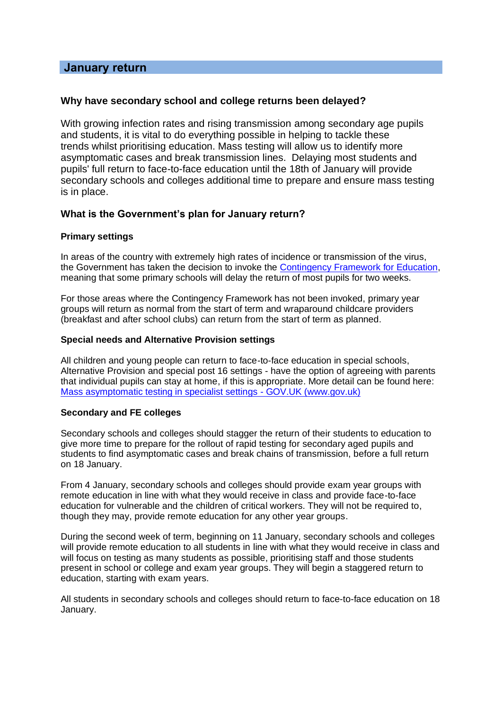### **January return**

#### **Why have secondary school and college returns been delayed?**

With growing infection rates and rising transmission among secondary age pupils and students, it is vital to do everything possible in helping to tackle these trends whilst prioritising education. Mass testing will allow us to identify more asymptomatic cases and break transmission lines. Delaying most students and pupils' full return to face-to-face education until the 18th of January will provide secondary schools and colleges additional time to prepare and ensure mass testing is in place.

### **What is the Government's plan for January return?**

#### **Primary settings**

In areas of the country with extremely high rates of incidence or transmission of the virus, the Government has taken the decision to invoke the [Contingency Framework for Education,](https://www.google.com/url?sa=t&rct=j&q=&esrc=s&source=web&cd=&ved=2ahUKEwi_o-C02IDuAhWTTRUIHaaSD3EQFjABegQIAhAC&url=https%3A%2F%2Fwww.gov.uk%2Fgovernment%2Fpublications%2Fcoronavirus-covid-19-contingency-framework-for-education-and-childcare-settings%2Fcontingency-framework-education-and-childcare-settings-excluding-universities&usg=AOvVaw0fWOCX-ZiDwjt1R6bjOfC4) meaning that some primary schools will delay the return of most pupils for two weeks.

For those areas where the Contingency Framework has not been invoked, primary year groups will return as normal from the start of term and wraparound childcare providers (breakfast and after school clubs) can return from the start of term as planned.

#### **Special needs and Alternative Provision settings**

All children and young people can return to face-to-face education in special schools, Alternative Provision and special post 16 settings - have the option of agreeing with parents that individual pupils can stay at home, if this is appropriate. More detail can be found here: [Mass asymptomatic testing in specialist settings -](https://www.gov.uk/government/publications/guidance-for-full-opening-special-schools-and-other-specialist-settings/mass-asymptomatic-testing-in-specialist-settings) GOV.UK (www.gov.uk)

#### **Secondary and FE colleges**

Secondary schools and colleges should stagger the return of their students to education to give more time to prepare for the rollout of rapid testing for secondary aged pupils and students to find asymptomatic cases and break chains of transmission, before a full return on 18 January.

From 4 January, secondary schools and colleges should provide exam year groups with remote education in line with what they would receive in class and provide face-to-face education for vulnerable and the children of critical workers. They will not be required to, though they may, provide remote education for any other year groups.

During the second week of term, beginning on 11 January, secondary schools and colleges will provide remote education to all students in line with what they would receive in class and will focus on testing as many students as possible, prioritising staff and those students present in school or college and exam year groups. They will begin a staggered return to education, starting with exam years.

All students in secondary schools and colleges should return to face-to-face education on 18 January.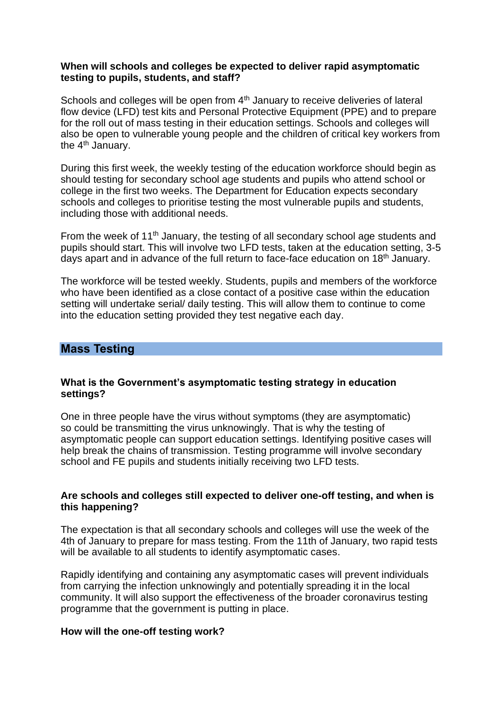### **When will schools and colleges be expected to deliver rapid asymptomatic testing to pupils, students, and staff?**

Schools and colleges will be open from 4<sup>th</sup> January to receive deliveries of lateral flow device (LFD) test kits and Personal Protective Equipment (PPE) and to prepare for the roll out of mass testing in their education settings. Schools and colleges will also be open to vulnerable young people and the children of critical key workers from the 4<sup>th</sup> January.

During this first week, the weekly testing of the education workforce should begin as should testing for secondary school age students and pupils who attend school or college in the first two weeks. The Department for Education expects secondary schools and colleges to prioritise testing the most vulnerable pupils and students, including those with additional needs.

From the week of 11<sup>th</sup> January, the testing of all secondary school age students and pupils should start. This will involve two LFD tests, taken at the education setting, 3-5 days apart and in advance of the full return to face-face education on 18th January.

The workforce will be tested weekly. Students, pupils and members of the workforce who have been identified as a close contact of a positive case within the education setting will undertake serial/ daily testing. This will allow them to continue to come into the education setting provided they test negative each day.

### **Mass Testing**

### **What is the Government's asymptomatic testing strategy in education settings?**

One in three people have the virus without symptoms (they are asymptomatic) so could be transmitting the virus unknowingly. That is why the testing of asymptomatic people can support education settings. Identifying positive cases will help break the chains of transmission. Testing programme will involve secondary school and FE pupils and students initially receiving two LFD tests.

### **Are schools and colleges still expected to deliver one-off testing, and when is this happening?**

The expectation is that all secondary schools and colleges will use the week of the 4th of January to prepare for mass testing. From the 11th of January, two rapid tests will be available to all students to identify asymptomatic cases.

Rapidly identifying and containing any asymptomatic cases will prevent individuals from carrying the infection unknowingly and potentially spreading it in the local community. It will also support the effectiveness of the broader coronavirus testing programme that the government is putting in place.

### **How will the one-off testing work?**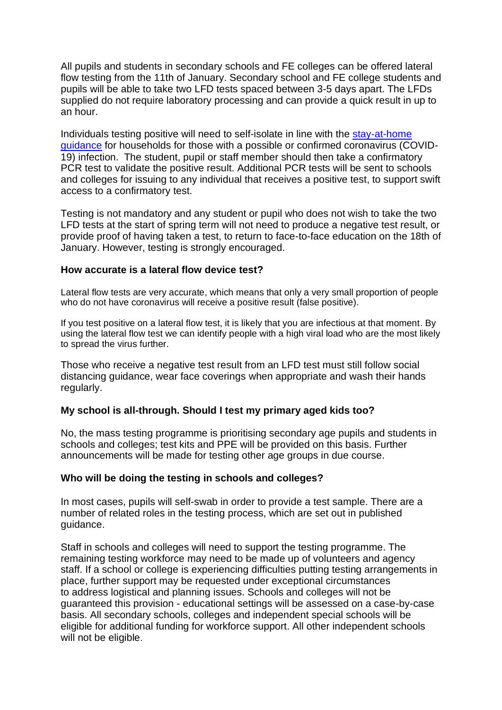All pupils and students in secondary schools and FE colleges can be offered lateral flow testing from the 11th of January. Secondary school and FE college students and pupils will be able to take two LFD tests spaced between 3-5 days apart. The LFDs supplied do not require laboratory processing and can provide a quick result in up to an hour.

Individuals testing positive will need to self-isolate in line with the [stay-at-home](https://www.gov.uk/government/publications/covid-19-stay-at-home-guidance/stay-at-home-guidance-for-households-with-possible-coronavirus-covid-19-infection) [guidance](https://www.gov.uk/government/publications/covid-19-stay-at-home-guidance/stay-at-home-guidance-for-households-with-possible-coronavirus-covid-19-infection) for households for those with a possible or confirmed coronavirus (COVID-19) infection. The student, pupil or staff member should then take a confirmatory PCR test to validate the positive result. Additional PCR tests will be sent to schools and colleges for issuing to any individual that receives a positive test, to support swift access to a confirmatory test.

Testing is not mandatory and any student or pupil who does not wish to take the two LFD tests at the start of spring term will not need to produce a negative test result, or provide proof of having taken a test, to return to face-to-face education on the 18th of January. However, testing is strongly encouraged.

### **How accurate is a lateral flow device test?**

Lateral flow tests are very accurate, which means that only a very small proportion of people who do not have coronavirus will receive a positive result (false positive).

If you test positive on a lateral flow test, it is likely that you are infectious at that moment. By using the lateral flow test we can identify people with a high viral load who are the most likely to spread the virus further.

Those who receive a negative test result from an LFD test must still follow social distancing guidance, wear face coverings when appropriate and wash their hands regularly.

### **My school is all-through. Should I test my primary aged kids too?**

No, the mass testing programme is prioritising secondary age pupils and students in schools and colleges; test kits and PPE will be provided on this basis. Further announcements will be made for testing other age groups in due course.

### **Who will be doing the testing in schools and colleges?**

In most cases, pupils will self-swab in order to provide a test sample. There are a number of related roles in the testing process, which are set out in published guidance.

Staff in schools and colleges will need to support the testing programme. The remaining testing workforce may need to be made up of volunteers and agency staff. If a school or college is experiencing difficulties putting testing arrangements in place, further support may be requested under exceptional circumstances to address logistical and planning issues. Schools and colleges will not be guaranteed this provision - educational settings will be assessed on a case-by-case basis. All secondary schools, colleges and independent special schools will be eligible for additional funding for workforce support. All other independent schools will not be eligible.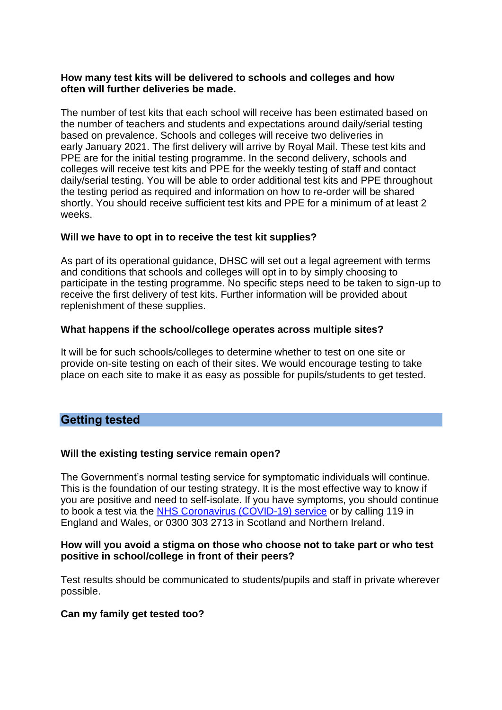### **How many test kits will be delivered to schools and colleges and how often will further deliveries be made.**

The number of test kits that each school will receive has been estimated based on the number of teachers and students and expectations around daily/serial testing based on prevalence. Schools and colleges will receive two deliveries in early January 2021. The first delivery will arrive by Royal Mail. These test kits and PPE are for the initial testing programme. In the second delivery, schools and colleges will receive test kits and PPE for the weekly testing of staff and contact daily/serial testing. You will be able to order additional test kits and PPE throughout the testing period as required and information on how to re-order will be shared shortly. You should receive sufficient test kits and PPE for a minimum of at least 2 weeks.

### **Will we have to opt in to receive the test kit supplies?**

As part of its operational guidance, DHSC will set out a legal agreement with terms and conditions that schools and colleges will opt in to by simply choosing to participate in the testing programme. No specific steps need to be taken to sign-up to receive the first delivery of test kits. Further information will be provided about replenishment of these supplies.

### **What happens if the school/college operates across multiple sites?**

It will be for such schools/colleges to determine whether to test on one site or provide on-site testing on each of their sites. We would encourage testing to take place on each site to make it as easy as possible for pupils/students to get tested.

# **Getting tested**

### **Will the existing testing service remain open?**

The Government's normal testing service for symptomatic individuals will continue. This is the foundation of our testing strategy. It is the most effective way to know if you are positive and need to self-isolate. If you have symptoms, you should continue to book a test via the NHS [Coronavirus \(COVID-19\)](https://www.nhs.uk/conditions/coronavirus-covid-19/) service or by calling 119 in England and Wales, or 0300 303 2713 in Scotland and Northern Ireland.

### **How will you avoid a stigma on those who choose not to take part or who test positive in school/college in front of their peers?**

Test results should be communicated to students/pupils and staff in private wherever possible.

### **Can my family get tested too?**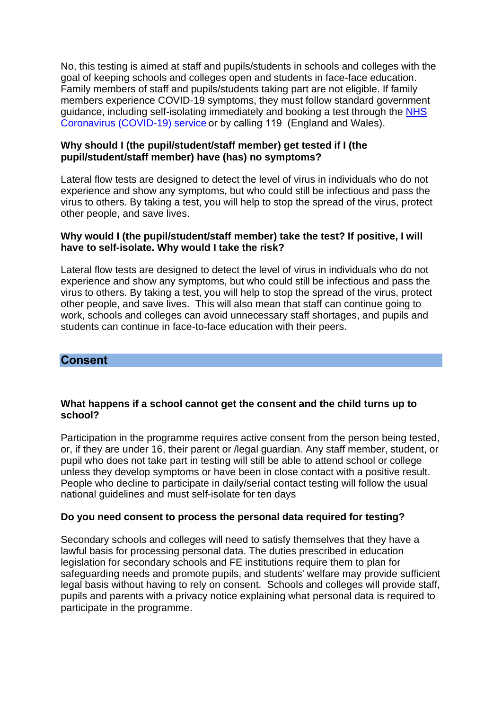No, this testing is aimed at staff and pupils/students in schools and colleges with the goal of keeping schools and colleges open and students in face-face education. Family members of staff and pupils/students taking part are not eligible. If family members experience COVID-19 symptoms, they must follow standard government guidance, including self-isolating immediately and booking a test through the [NHS](https://www.nhs.uk/conditions/coronavirus-covid-19/)  [Coronavirus \(COVID-19\) service](https://www.nhs.uk/conditions/coronavirus-covid-19/)or by calling 119 (England and Wales).

### **Why should I (the pupil/student/staff member) get tested if I (the pupil/student/staff member) have (has) no symptoms?**

Lateral flow tests are designed to detect the level of virus in individuals who do not experience and show any symptoms, but who could still be infectious and pass the virus to others. By taking a test, you will help to stop the spread of the virus, protect other people, and save lives.

### **Why would I (the pupil/student/staff member) take the test? If positive, I will have to self-isolate. Why would I take the risk?**

Lateral flow tests are designed to detect the level of virus in individuals who do not experience and show any symptoms, but who could still be infectious and pass the virus to others. By taking a test, you will help to stop the spread of the virus, protect other people, and save lives. This will also mean that staff can continue going to work, schools and colleges can avoid unnecessary staff shortages, and pupils and students can continue in face-to-face education with their peers.

### **Consent**

### **What happens if a school cannot get the consent and the child turns up to school?**

Participation in the programme requires active consent from the person being tested, or, if they are under 16, their parent or /legal guardian. Any staff member, student, or pupil who does not take part in testing will still be able to attend school or college unless they develop symptoms or have been in close contact with a positive result. People who decline to participate in daily/serial contact testing will follow the usual national guidelines and must self-isolate for ten days

### **Do you need consent to process the personal data required for testing?**

Secondary schools and colleges will need to satisfy themselves that they have a lawful basis for processing personal data. The duties prescribed in education legislation for secondary schools and FE institutions require them to plan for safeguarding needs and promote pupils, and students' welfare may provide sufficient legal basis without having to rely on consent. Schools and colleges will provide staff, pupils and parents with a privacy notice explaining what personal data is required to participate in the programme.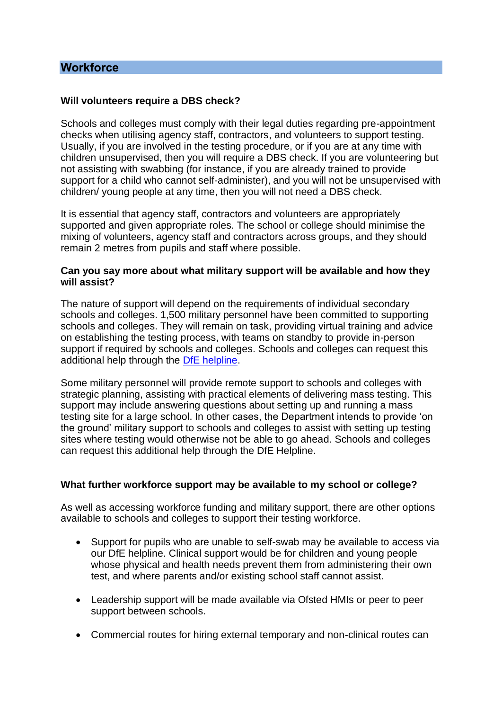### **Workforce**

### **Will volunteers require a DBS check?**

Schools and colleges must comply with their legal duties regarding pre-appointment checks when utilising agency staff, contractors, and volunteers to support testing. Usually, if you are involved in the testing procedure, or if you are at any time with children unsupervised, then you will require a DBS check. If you are volunteering but not assisting with swabbing (for instance, if you are already trained to provide support for a child who cannot self-administer), and you will not be unsupervised with children/ young people at any time, then you will not need a DBS check.

It is essential that agency staff, contractors and volunteers are appropriately supported and given appropriate roles. The school or college should minimise the mixing of volunteers, agency staff and contractors across groups, and they should remain 2 metres from pupils and staff where possible.

### **Can you say more about what military support will be available and how they will assist?**

The nature of support will depend on the requirements of individual secondary schools and colleges. 1,500 military personnel have been committed to supporting schools and colleges. They will remain on task, providing virtual training and advice on establishing the testing process, with teams on standby to provide in-person support if required by schools and colleges. Schools and colleges can request this additional help through the [DfE helpline.](https://www.gov.uk/contact-dfe)

Some military personnel will provide remote support to schools and colleges with strategic planning, assisting with practical elements of delivering mass testing. This support may include answering questions about setting up and running a mass testing site for a large school. In other cases, the Department intends to provide 'on the ground' military support to schools and colleges to assist with setting up testing sites where testing would otherwise not be able to go ahead. Schools and colleges can request this additional help through the DfE Helpline.

### **What further workforce support may be available to my school or college?**

As well as accessing workforce funding and military support, there are other options available to schools and colleges to support their testing workforce.

- Support for pupils who are unable to self-swab may be available to access via our DfE helpline. Clinical support would be for children and young people whose physical and health needs prevent them from administering their own test, and where parents and/or existing school staff cannot assist.
- Leadership support will be made available via Ofsted HMIs or peer to peer support between schools.
- Commercial routes for hiring external temporary and non-clinical routes can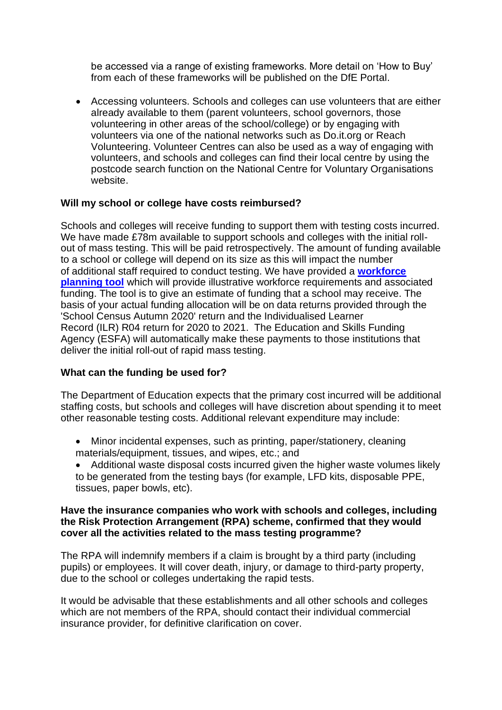be accessed via a range of existing frameworks. More detail on 'How to Buy' from each of these frameworks will be published on the DfE Portal.

• Accessing volunteers. Schools and colleges can use volunteers that are either already available to them (parent volunteers, school governors, those volunteering in other areas of the school/college) or by engaging with volunteers via one of the national networks such as Do.it.org or Reach Volunteering. Volunteer Centres can also be used as a way of engaging with volunteers, and schools and colleges can find their local centre by using the postcode search function on the National Centre for Voluntary Organisations website.

### **Will my school or college have costs reimbursed?**

Schools and colleges will receive funding to support them with testing costs incurred. We have made £78m available to support schools and colleges with the initial rollout of mass testing. This will be paid retrospectively. The amount of funding available to a school or college will depend on its size as this will impact the number of additional staff required to conduct testing. We have provided a **[workforce](https://drive.google.com/drive/folders/1jYv0MjFyIIbzgPn_1S10OuRgfrj_b5_P)  [planning tool](https://drive.google.com/drive/folders/1jYv0MjFyIIbzgPn_1S10OuRgfrj_b5_P)** which will provide illustrative workforce requirements and associated funding. The tool is to give an estimate of funding that a school may receive. The basis of your actual funding allocation will be on data returns provided through the 'School Census Autumn 2020' return and the Individualised Learner Record (ILR) R04 return for 2020 to 2021. The Education and Skills Funding Agency (ESFA) will automatically make these payments to those institutions that deliver the initial roll-out of rapid mass testing.

### **What can the funding be used for?**

The Department of Education expects that the primary cost incurred will be additional staffing costs, but schools and colleges will have discretion about spending it to meet other reasonable testing costs. Additional relevant expenditure may include:

- Minor incidental expenses, such as printing, paper/stationery, cleaning materials/equipment, tissues, and wipes, etc.; and
- Additional waste disposal costs incurred given the higher waste volumes likely to be generated from the testing bays (for example, LFD kits, disposable PPE, tissues, paper bowls, etc).

### **Have the insurance companies who work with schools and colleges, including the Risk Protection Arrangement (RPA) scheme, confirmed that they would cover all the activities related to the mass testing programme?**

The RPA will indemnify members if a claim is brought by a third party (including pupils) or employees. It will cover death, injury, or damage to third-party property, due to the school or colleges undertaking the rapid tests.

It would be advisable that these establishments and all other schools and colleges which are not members of the RPA, should contact their individual commercial insurance provider, for definitive clarification on cover.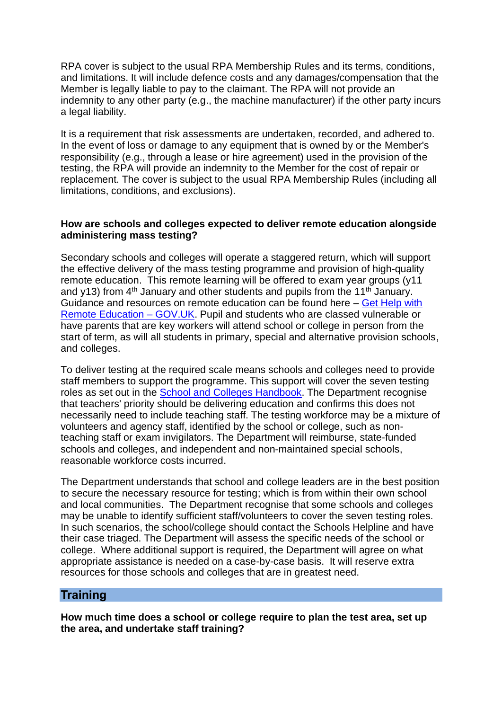RPA cover is subject to the usual RPA Membership Rules and its terms, conditions, and limitations. It will include defence costs and any damages/compensation that the Member is legally liable to pay to the claimant. The RPA will not provide an indemnity to any other party (e.g., the machine manufacturer) if the other party incurs a legal liability.

It is a requirement that risk assessments are undertaken, recorded, and adhered to. In the event of loss or damage to any equipment that is owned by or the Member's responsibility (e.g., through a lease or hire agreement) used in the provision of the testing, the RPA will provide an indemnity to the Member for the cost of repair or replacement. The cover is subject to the usual RPA Membership Rules (including all limitations, conditions, and exclusions).

### **How are schools and colleges expected to deliver remote education alongside administering mass testing?**

Secondary schools and colleges will operate a staggered return, which will support the effective delivery of the mass testing programme and provision of high-quality remote education. This remote learning will be offered to exam year groups (y11 and y13) from 4<sup>th</sup> January and other students and pupils from the 11<sup>th</sup> January. Guidance and resources on remote education can be found here – [Get Help with](https://get-help-with-remote-education.education.gov.uk/) [Remote Education –](https://get-help-with-remote-education.education.gov.uk/) GOV.UK. Pupil and students who are classed vulnerable or have parents that are key workers will attend school or college in person from the start of term, as will all students in primary, special and alternative provision schools, and colleges.

To deliver testing at the required scale means schools and colleges need to provide staff members to support the programme. This support will cover the seven testing roles as set out in the [School and Colleges Handbook.](https://www.gov.uk/guidance/asymptomatic-testing-in-schools-and-colleges) The Department recognise that teachers' priority should be delivering education and confirms this does not necessarily need to include teaching staff. The testing workforce may be a mixture of volunteers and agency staff, identified by the school or college, such as nonteaching staff or exam invigilators. The Department will reimburse, state-funded schools and colleges, and independent and non-maintained special schools, reasonable workforce costs incurred.

The Department understands that school and college leaders are in the best position to secure the necessary resource for testing; which is from within their own school and local communities. The Department recognise that some schools and colleges may be unable to identify sufficient staff/volunteers to cover the seven testing roles. In such scenarios, the school/college should contact the Schools Helpline and have their case triaged. The Department will assess the specific needs of the school or college. Where additional support is required, the Department will agree on what appropriate assistance is needed on a case-by-case basis. It will reserve extra resources for those schools and colleges that are in greatest need.

### **Training**

**How much time does a school or college require to plan the test area, set up the area, and undertake staff training?**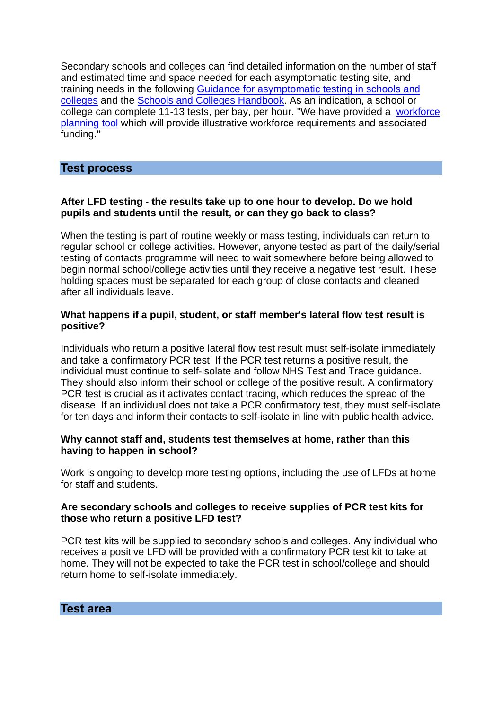Secondary schools and colleges can find detailed information on the number of staff and estimated time and space needed for each asymptomatic testing site, and training needs in the following Guidance [for asymptomatic testing in schools and](https://www.gov.uk/guidance/asymptomatic-testing-in-schools-and-colleges)  [colleges](https://www.gov.uk/guidance/asymptomatic-testing-in-schools-and-colleges) and the [Schools and Colleges Handbook.](https://assets.publishing.service.gov.uk/government/uploads/system/uploads/attachment_data/file/947799/schools_and_colleges_testing_handbook.pdf) As an indication, a school or college can complete 11-13 tests, per bay, per hour. "We have provided a [workforce](https://drive.google.com/drive/folders/1jYv0MjFyIIbzgPn_1S10OuRgfrj_b5_P)  [planning tool](https://drive.google.com/drive/folders/1jYv0MjFyIIbzgPn_1S10OuRgfrj_b5_P) which will provide illustrative workforce requirements and associated funding."

# **Test process**

### **After LFD testing - the results take up to one hour to develop. Do we hold pupils and students until the result, or can they go back to class?**

When the testing is part of routine weekly or mass testing, individuals can return to regular school or college activities. However, anyone tested as part of the daily/serial testing of contacts programme will need to wait somewhere before being allowed to begin normal school/college activities until they receive a negative test result. These holding spaces must be separated for each group of close contacts and cleaned after all individuals leave.

### **What happens if a pupil, student, or staff member's lateral flow test result is positive?**

Individuals who return a positive lateral flow test result must self-isolate immediately and take a confirmatory PCR test. If the PCR test returns a positive result, the individual must continue to self-isolate and follow NHS Test and Trace guidance. They should also inform their school or college of the positive result. A confirmatory PCR test is crucial as it activates contact tracing, which reduces the spread of the disease. If an individual does not take a PCR confirmatory test, they must self-isolate for ten days and inform their contacts to self-isolate in line with public health advice.

### **Why cannot staff and, students test themselves at home, rather than this having to happen in school?**

Work is ongoing to develop more testing options, including the use of LFDs at home for staff and students.

### **Are secondary schools and colleges to receive supplies of PCR test kits for those who return a positive LFD test?**

PCR test kits will be supplied to secondary schools and colleges. Any individual who receives a positive LFD will be provided with a confirmatory PCR test kit to take at home. They will not be expected to take the PCR test in school/college and should return home to self-isolate immediately.

**Test area**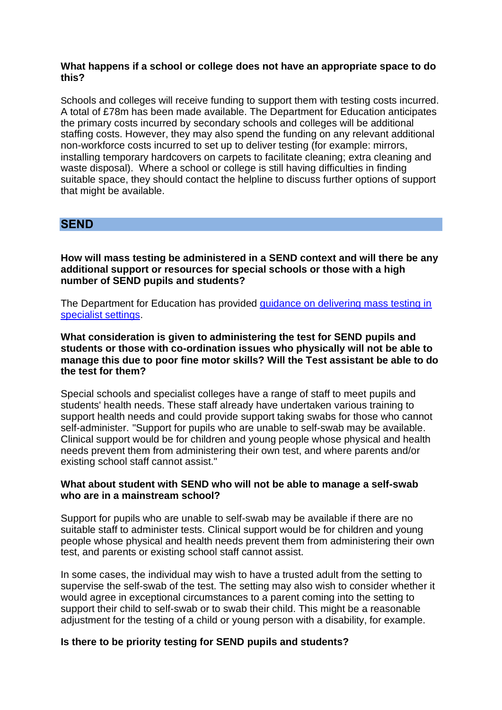### **What happens if a school or college does not have an appropriate space to do this?**

Schools and colleges will receive funding to support them with testing costs incurred. A total of £78m has been made available. The Department for Education anticipates the primary costs incurred by secondary schools and colleges will be additional staffing costs. However, they may also spend the funding on any relevant additional non-workforce costs incurred to set up to deliver testing (for example: mirrors, installing temporary hardcovers on carpets to facilitate cleaning; extra cleaning and waste disposal). Where a school or college is still having difficulties in finding suitable space, they should contact the helpline to discuss further options of support that might be available.

### **SEND**

**How will mass testing be administered in a SEND context and will there be any additional support or resources for special schools or those with a high number of SEND pupils and students?**

The Department for Education has provided [guidance on delivering mass testing in](https://www.gov.uk/government/publications/guidance-for-full-opening-special-schools-and-other-specialist-settings/mass-asymptomatic-testing-in-specialist-settings)  [specialist settings.](https://www.gov.uk/government/publications/guidance-for-full-opening-special-schools-and-other-specialist-settings/mass-asymptomatic-testing-in-specialist-settings)

**What consideration is given to administering the test for SEND pupils and students or those with co-ordination issues who physically will not be able to manage this due to poor fine motor skills? Will the Test assistant be able to do the test for them?**

Special schools and specialist colleges have a range of staff to meet pupils and students' health needs. These staff already have undertaken various training to support health needs and could provide support taking swabs for those who cannot self-administer. "Support for pupils who are unable to self-swab may be available. Clinical support would be for children and young people whose physical and health needs prevent them from administering their own test, and where parents and/or existing school staff cannot assist."

### **What about student with SEND who will not be able to manage a self-swab who are in a mainstream school?**

Support for pupils who are unable to self-swab may be available if there are no suitable staff to administer tests. Clinical support would be for children and young people whose physical and health needs prevent them from administering their own test, and parents or existing school staff cannot assist.

In some cases, the individual may wish to have a trusted adult from the setting to supervise the self-swab of the test. The setting may also wish to consider whether it would agree in exceptional circumstances to a parent coming into the setting to support their child to self-swab or to swab their child. This might be a reasonable adjustment for the testing of a child or young person with a disability, for example.

### **Is there to be priority testing for SEND pupils and students?**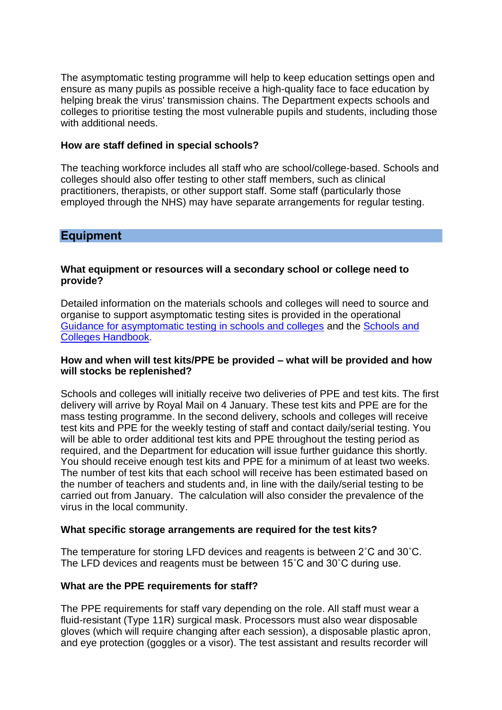The asymptomatic testing programme will help to keep education settings open and ensure as many pupils as possible receive a high-quality face to face education by helping break the virus' transmission chains. The Department expects schools and colleges to prioritise testing the most vulnerable pupils and students, including those with additional needs.

### **How are staff defined in special schools?**

The teaching workforce includes all staff who are school/college-based. Schools and colleges should also offer testing to other staff members, such as clinical practitioners, therapists, or other support staff. Some staff (particularly those employed through the NHS) may have separate arrangements for regular testing.

### **Equipment**

### **What equipment or resources will a secondary school or college need to provide?**

Detailed information on the materials schools and colleges will need to source and organise to support asymptomatic testing sites is provided in the operational [Guidance for asymptomatic testing in schools and colleges](https://www.gov.uk/guidance/asymptomatic-testing-in-schools-and-colleges) and the [Schools and](https://assets.publishing.service.gov.uk/government/uploads/system/uploads/attachment_data/file/947799/schools_and_colleges_testing_handbook.pdf)  [Colleges Handbook.](https://assets.publishing.service.gov.uk/government/uploads/system/uploads/attachment_data/file/947799/schools_and_colleges_testing_handbook.pdf)

### **How and when will test kits/PPE be provided – what will be provided and how will stocks be replenished?**

Schools and colleges will initially receive two deliveries of PPE and test kits. The first delivery will arrive by Royal Mail on 4 January. These test kits and PPE are for the mass testing programme. In the second delivery, schools and colleges will receive test kits and PPE for the weekly testing of staff and contact daily/serial testing. You will be able to order additional test kits and PPE throughout the testing period as required, and the Department for education will issue further guidance this shortly. You should receive enough test kits and PPE for a minimum of at least two weeks. The number of test kits that each school will receive has been estimated based on the number of teachers and students and, in line with the daily/serial testing to be carried out from January. The calculation will also consider the prevalence of the virus in the local community.

### **What specific storage arrangements are required for the test kits?**

The temperature for storing LFD devices and reagents is between 2˚C and 30˚C. The LFD devices and reagents must be between 15˚C and 30˚C during use.

### **What are the PPE requirements for staff?**

The PPE requirements for staff vary depending on the role. All staff must wear a fluid-resistant (Type 11R) surgical mask. Processors must also wear disposable gloves (which will require changing after each session), a disposable plastic apron, and eye protection (goggles or a visor). The test assistant and results recorder will